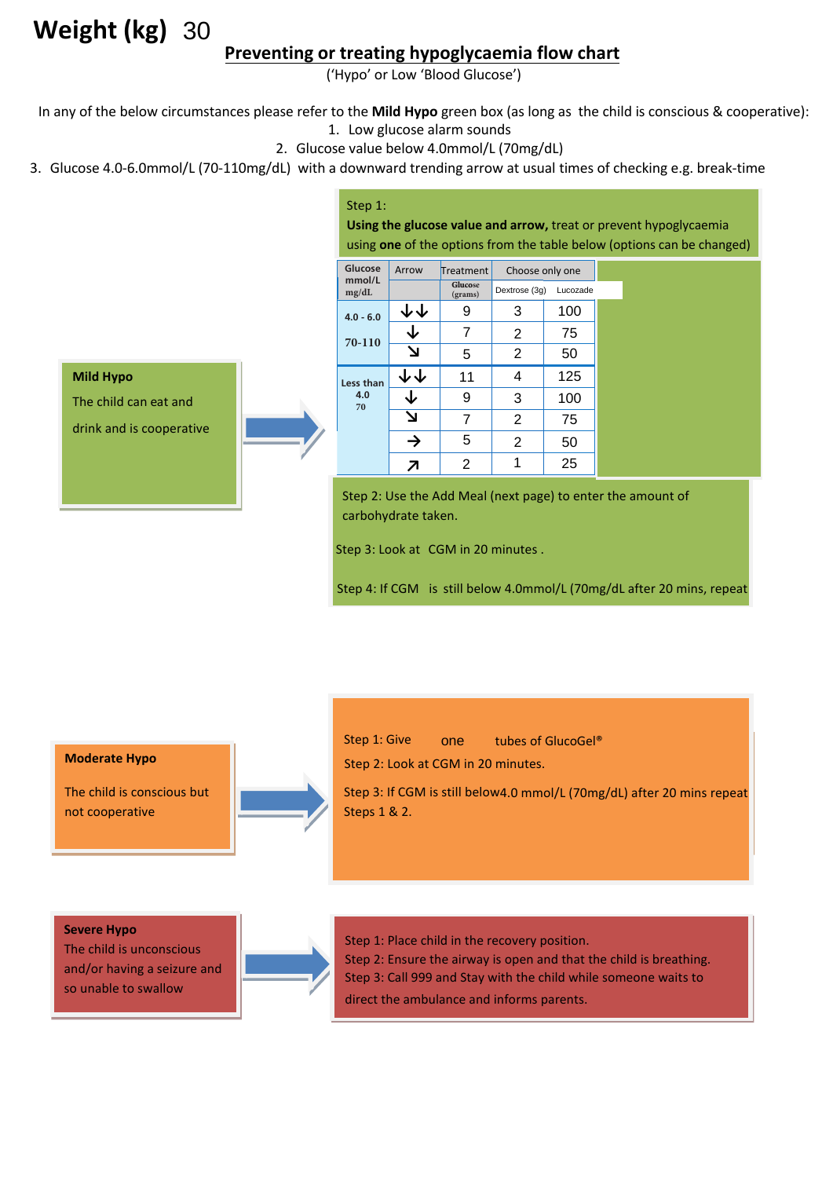# **Weight (kg)**

### **Preventing or treating hypoglycaemia flow chart**

In any of the below circumstances please refer to the **Mild Hypo** green box (as long as the child is conscious & cooperative):

- 1. Low glucose alarm sounds
- 2. Glucose value below 4.0mmol/L (70mg/dL)
- 3. Glucose 4.0-6.0mmol/L (70-110mg/dL) with a downward trending arrow at usual times of checking e.g. break-time

#### Step 1:

**Using the glucose value and arrow,** treat or prevent hypoglycaemia using **one** of the options from the table below (options can be changed)

| 30                                                                                                                  |                                                                                                                     |                                                                            |                                 |                 |          |  |
|---------------------------------------------------------------------------------------------------------------------|---------------------------------------------------------------------------------------------------------------------|----------------------------------------------------------------------------|---------------------------------|-----------------|----------|--|
| Preventing or treating hypoglycaemia flow chart                                                                     |                                                                                                                     |                                                                            | ('Hypo' or Low 'Blood Glucose') |                 |          |  |
|                                                                                                                     |                                                                                                                     |                                                                            |                                 |                 |          |  |
| umstances please refer to the Mild Hypo green box (as long as the child                                             |                                                                                                                     |                                                                            | 1. Low glucose alarm sounds     |                 |          |  |
| 2. Glucose value below 4.0mmol/L (70mg/dL)<br>/L (70-110mg/dL) with a downward trending arrow at usual times of che |                                                                                                                     |                                                                            |                                 |                 |          |  |
|                                                                                                                     | Step 1:<br>Using the glucose value and arrow, treat or prever<br>using one of the options from the table below (opt |                                                                            |                                 |                 |          |  |
|                                                                                                                     |                                                                                                                     |                                                                            |                                 |                 |          |  |
|                                                                                                                     | Glucose<br>mmol/L<br>mg/dL                                                                                          | Arrow                                                                      | Treatment                       | Choose only one |          |  |
|                                                                                                                     |                                                                                                                     |                                                                            | <b>Glucose</b><br>(grams)       | Dextrose (3g)   | Lucozade |  |
|                                                                                                                     | $4.0 - 6.0$                                                                                                         | ↓↓                                                                         | 9                               | 3               | 100      |  |
|                                                                                                                     | 70-110                                                                                                              | ↓                                                                          | 7                               | 2               | 75       |  |
|                                                                                                                     |                                                                                                                     | צ                                                                          | 5                               | 2               | 50       |  |
| ۱d                                                                                                                  | Less than<br>4.0<br>70                                                                                              | ↓↓                                                                         | 11                              | 4               | 125      |  |
|                                                                                                                     |                                                                                                                     | ↓                                                                          | 9                               | 3               | 100      |  |
| ative                                                                                                               |                                                                                                                     | צ                                                                          | 7                               | 2               | 75       |  |
|                                                                                                                     |                                                                                                                     | $\rightarrow$                                                              | 5                               | 2               | 50       |  |
|                                                                                                                     |                                                                                                                     | ↗                                                                          | 2                               | 1               | 25       |  |
|                                                                                                                     |                                                                                                                     | Step 2: Use the Add Meal (next page) to enter the a<br>carbohydrate taken. |                                 |                 |          |  |
| Step 3: Look at CGM in 20 minutes.                                                                                  |                                                                                                                     |                                                                            |                                 |                 |          |  |
| Step 4: If CGM is still below 4.0mmol/L (70mg/dL a                                                                  |                                                                                                                     |                                                                            |                                 |                 |          |  |
|                                                                                                                     |                                                                                                                     |                                                                            |                                 |                 |          |  |
|                                                                                                                     |                                                                                                                     |                                                                            |                                 |                 |          |  |
|                                                                                                                     |                                                                                                                     |                                                                            |                                 |                 |          |  |
|                                                                                                                     |                                                                                                                     |                                                                            |                                 |                 |          |  |
|                                                                                                                     | Step 1: Give                                                                                                        |                                                                            | tubes of GlucoGel®              |                 |          |  |

Step 2: Use the Add Meal (next page) to enter the amount of carbohydrate taken.

Step 4: If CGM is still below 4.0mmol/L (70mg/dL after 20 mins, repeat